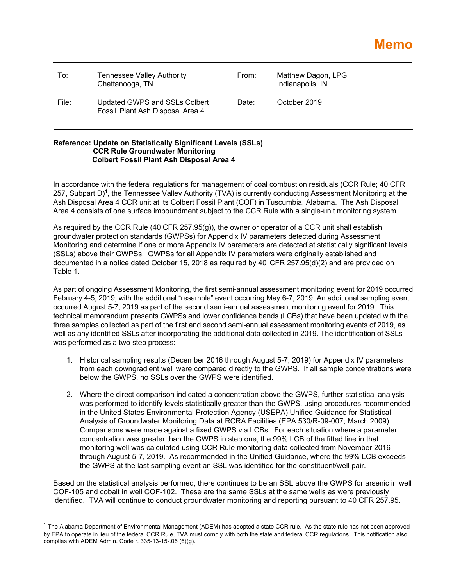| To:   | Tennessee Valley Authority<br>Chattanooga, TN                     | From: | Matthew Dagon, LPG<br>Indianapolis, IN |
|-------|-------------------------------------------------------------------|-------|----------------------------------------|
| File: | Updated GWPS and SSLs Colbert<br>Fossil Plant Ash Disposal Area 4 | Date: | October 2019                           |

## **Reference: Update on Statistically Significant Levels (SSLs) CCR Rule Groundwater Monitoring Colbert Fossil Plant Ash Disposal Area 4**

In accordance with the federal regulations for management of coal combustion residuals (CCR Rule; 40 CFR 257, Subpart D)1, the Tennessee Valley Authority (TVA) is currently conducting Assessment Monitoring at the Ash Disposal Area 4 CCR unit at its Colbert Fossil Plant (COF) in Tuscumbia, Alabama. The Ash Disposal Area 4 consists of one surface impoundment subject to the CCR Rule with a single-unit monitoring system.

As required by the CCR Rule (40 CFR 257.95(g)), the owner or operator of a CCR unit shall establish groundwater protection standards (GWPSs) for Appendix IV parameters detected during Assessment Monitoring and determine if one or more Appendix IV parameters are detected at statistically significant levels (SSLs) above their GWPSs. GWPSs for all Appendix IV parameters were originally established and documented in a notice dated October 15, 2018 as required by 40 CFR 257.95(d)(2) and are provided on Table 1.

As part of ongoing Assessment Monitoring, the first semi-annual assessment monitoring event for 2019 occurred February 4-5, 2019, with the additional "resample" event occurring May 6-7, 2019. An additional sampling event occurred August 5-7, 2019 as part of the second semi-annual assessment monitoring event for 2019. This technical memorandum presents GWPSs and lower confidence bands (LCBs) that have been updated with the three samples collected as part of the first and second semi-annual assessment monitoring events of 2019, as well as any identified SSLs after incorporating the additional data collected in 2019. The identification of SSLs was performed as a two-step process:

- 1. Historical sampling results (December 2016 through August 5-7, 2019) for Appendix IV parameters from each downgradient well were compared directly to the GWPS. If all sample concentrations were below the GWPS, no SSLs over the GWPS were identified.
- 2. Where the direct comparison indicated a concentration above the GWPS, further statistical analysis was performed to identify levels statistically greater than the GWPS, using procedures recommended in the United States Environmental Protection Agency (USEPA) Unified Guidance for Statistical Analysis of Groundwater Monitoring Data at RCRA Facilities (EPA 530/R-09-007; March 2009). Comparisons were made against a fixed GWPS via LCBs. For each situation where a parameter concentration was greater than the GWPS in step one, the 99% LCB of the fitted line in that monitoring well was calculated using CCR Rule monitoring data collected from November 2016 through August 5-7, 2019. As recommended in the Unified Guidance, where the 99% LCB exceeds the GWPS at the last sampling event an SSL was identified for the constituent/well pair.

Based on the statistical analysis performed, there continues to be an SSL above the GWPS for arsenic in well COF-105 and cobalt in well COF-102. These are the same SSLs at the same wells as were previously identified. TVA will continue to conduct groundwater monitoring and reporting pursuant to 40 CFR 257.95.

 $1$  The Alabama Department of Environmental Management (ADEM) has adopted a state CCR rule. As the state rule has not been approved by EPA to operate in lieu of the federal CCR Rule, TVA must comply with both the state and federal CCR regulations. This notification also complies with ADEM Admin. Code r. 335-13-15-.06 (6)(g).